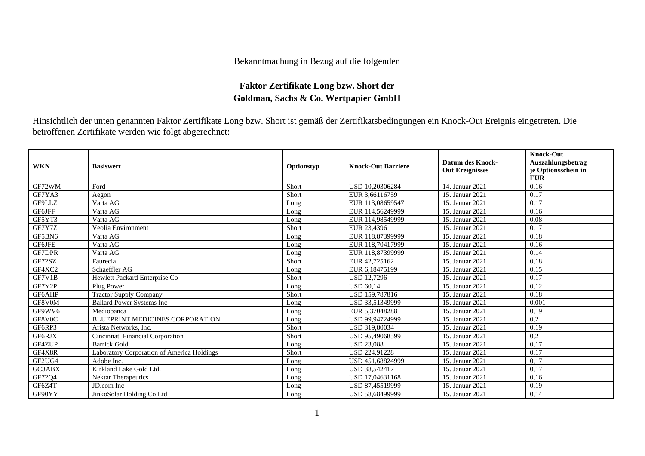## Bekanntmachung in Bezug auf die folgenden

## **Faktor Zertifikate Long bzw. Short der Goldman, Sachs & Co. Wertpapier GmbH**

Hinsichtlich der unten genannten Faktor Zertifikate Long bzw. Short ist gemäß der Zertifikatsbedingungen ein Knock-Out Ereignis eingetreten. Die betroffenen Zertifikate werden wie folgt abgerechnet:

| <b>WKN</b>     | <b>Basiswert</b>                           | Optionstyp | <b>Knock-Out Barriere</b> | Datum des Knock-<br><b>Out Ereignisses</b> | <b>Knock-Out</b><br>Auszahlungsbetrag<br>je Optionsschein in<br><b>EUR</b> |
|----------------|--------------------------------------------|------------|---------------------------|--------------------------------------------|----------------------------------------------------------------------------|
| GF72WM         | Ford                                       | Short      | USD 10.20306284           | 14. Januar 2021                            | 0,16                                                                       |
| GF7YA3         | Aegon                                      | Short      | EUR 3,66116759            | 15. Januar 2021                            | 0,17                                                                       |
| GF9LLZ         | Varta AG                                   | Long       | EUR 113,08659547          | 15. Januar 2021                            | 0,17                                                                       |
| GF6JFF         | Varta AG                                   | Long       | EUR 114,56249999          | 15. Januar 2021                            | 0,16                                                                       |
| GF5YT3         | Varta AG                                   | Long       | EUR 114.98549999          | 15. Januar 2021                            | 0,08                                                                       |
| GF7Y7Z         | Veolia Environment                         | Short      | EUR 23,4396               | 15. Januar 2021                            | 0.17                                                                       |
| GF5BN6         | Varta AG                                   | Long       | EUR 118,87399999          | 15. Januar 2021                            | 0,18                                                                       |
| <b>GF6JFE</b>  | Varta AG                                   | Long       | EUR 118,70417999          | 15. Januar 2021                            | 0,16                                                                       |
| GF7DPR         | Varta AG                                   | Long       | EUR 118,87399999          | 15. Januar 2021                            | 0,14                                                                       |
| GF72SZ         | Faurecia                                   | Short      | EUR 42.725162             | 15. Januar 2021                            | 0,18                                                                       |
| GF4XC2         | Schaeffler AG                              | Long       | EUR 6.18475199            | 15. Januar 2021                            | 0,15                                                                       |
| GF7V1B         | Hewlett Packard Enterprise Co              | Short      | <b>USD 12.7296</b>        | 15. Januar 2021                            | 0,17                                                                       |
| GF7Y2P         | Plug Power                                 | Long       | <b>USD 60.14</b>          | 15. Januar 2021                            | 0.12                                                                       |
| GF6AHP         | <b>Tractor Supply Company</b>              | Short      | USD 159,787816            | 15. Januar 2021                            | 0.18                                                                       |
| GF8V0M         | <b>Ballard Power Systems Inc.</b>          | Long       | USD 33,51349999           | 15. Januar 2021                            | 0,001                                                                      |
| GF9WV6         | Mediobanca                                 | Long       | EUR 5,37048288            | 15. Januar 2021                            | 0,19                                                                       |
| GF8V0C         | <b>BLUEPRINT MEDICINES CORPORATION</b>     | Long       | USD 99.94724999           | 15. Januar 2021                            | 0,2                                                                        |
| GF6RP3         | Arista Networks, Inc.                      | Short      | <b>USD 319,80034</b>      | 15. Januar 2021                            | 0,19                                                                       |
| ${\rm GFGRJX}$ | Cincinnati Financial Corporation           | Short      | USD 95.49068599           | 15. Januar 2021                            | 0,2                                                                        |
| GF4ZUP         | <b>Barrick Gold</b>                        | Long       | <b>USD 23.088</b>         | 15. Januar 2021                            | 0.17                                                                       |
| $\rm GF4X8R$   | Laboratory Corporation of America Holdings | Short      | USD 224,91228             | 15. Januar 2021                            | 0,17                                                                       |
| GF2UG4         | Adobe Inc.                                 | Long       | USD 451,68824999          | 15. Januar 2021                            | 0,17                                                                       |
| GC3ABX         | Kirkland Lake Gold Ltd.                    | Long       | <b>USD 38.542417</b>      | 15. Januar 2021                            | 0.17                                                                       |
| GF72Q4         | <b>Nektar Therapeutics</b>                 | Long       | USD 17,04631168           | 15. Januar 2021                            | 0,16                                                                       |
| GF6Z4T         | JD.com Inc                                 | Long       | USD 87,45519999           | 15. Januar 2021                            | 0.19                                                                       |
| GF90YY         | JinkoSolar Holding Co Ltd                  | Long       | USD 58,68499999           | 15. Januar 2021                            | 0,14                                                                       |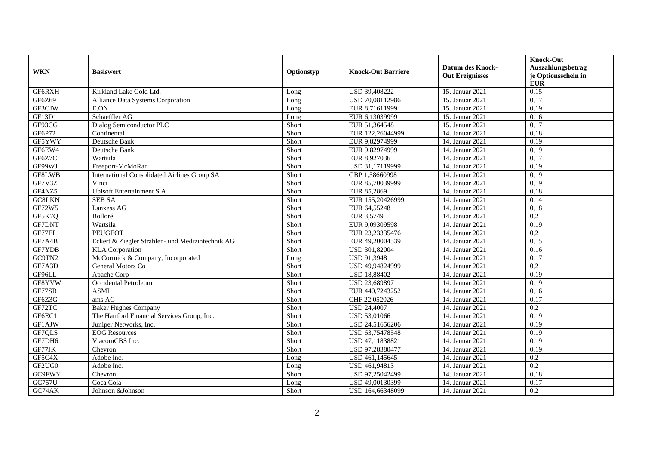| <b>WKN</b>    | <b>Basiswert</b>                                 | Optionstyp | <b>Knock-Out Barriere</b> | <b>Datum des Knock-</b><br><b>Out Ereignisses</b> | <b>Knock-Out</b><br>Auszahlungsbetrag |
|---------------|--------------------------------------------------|------------|---------------------------|---------------------------------------------------|---------------------------------------|
|               |                                                  |            |                           |                                                   | je Optionsschein in<br><b>EUR</b>     |
| GF6RXH        | Kirkland Lake Gold Ltd.                          | Long       | USD 39,408222             | 15. Januar 2021                                   | 0,15                                  |
| GF6Z69        | Alliance Data Systems Corporation                | Long       | USD 70,08112986           | 15. Januar 2021                                   | 0,17                                  |
| GF3CJW        | E.ON                                             | Long       | EUR 8,71611999            | 15. Januar 2021                                   | 0,19                                  |
| GF13D1        | Schaeffler AG                                    | Long       | EUR 6,13039999            | 15. Januar 2021                                   | 0,16                                  |
| GF93CG        | Dialog Semiconductor PLC                         | Short      | EUR 51,364548             | 15. Januar 2021                                   | 0,17                                  |
| GF6P72        | Continental                                      | Short      | EUR 122,26044999          | 14. Januar 2021                                   | 0,18                                  |
| GF5YWY        | Deutsche Bank                                    | Short      | EUR 9,82974999            | 14. Januar 2021                                   | 0.19                                  |
| GF6EW4        | Deutsche Bank                                    | Short      | EUR 9,82974999            | 14. Januar 2021                                   | 0,19                                  |
| GF6Z7C        | Wartsila                                         | Short      | EUR 8,927036              | 14. Januar 2021                                   | 0,17                                  |
| GF99WJ        | Freeport-McMoRan                                 | Short      | USD 31,17119999           | 14. Januar 2021                                   | 0,19                                  |
| GF8LWB        | International Consolidated Airlines Group SA     | Short      | GBP 1,58660998            | 14. Januar 2021                                   | 0,19                                  |
| GF7V3Z        | Vinci                                            | Short      | EUR 85,70039999           | 14. Januar 2021                                   | 0,19                                  |
| GF4NZ5        | Ubisoft Entertainment S.A.                       | Short      | EUR 85,2869               | 14. Januar 2021                                   | 0,18                                  |
| GC8LKN        | <b>SEB SA</b>                                    | Short      | EUR 155,20426999          | 14. Januar 2021                                   | 0,14                                  |
| GF72W5        | Lanxess AG                                       | Short      | EUR 64,55248              | 14. Januar 2021                                   | 0,18                                  |
| GF5K7Q        | Bolloré                                          | Short      | EUR 3,5749                | 14. Januar 2021                                   | 0,2                                   |
| <b>GF7DNT</b> | Wartsila                                         | Short      | EUR 9.09309598            | 14. Januar 2021                                   | 0,19                                  |
| GF77EL        | PEUGEOT                                          | Short      | EUR 23,23335476           | 14. Januar 2021                                   | 0,2                                   |
| GF7A4B        | Eckert & Ziegler Strahlen- und Medizintechnik AG | Short      | EUR 49,20004539           | 14. Januar 2021                                   | 0,15                                  |
| GF7YDB        | <b>KLA</b> Corporation                           | Short      | USD 301,82004             | 14. Januar 2021                                   | 0,16                                  |
| GC9TN2        | McCormick & Company, Incorporated                | Long       | USD 91,3948               | 14. Januar 2021                                   | 0,17                                  |
| GF7A3D        | General Motors Co                                | Short      | USD 49.94824999           | 14. Januar 2021                                   | 0,2                                   |
| GF96LL        | Apache Corp                                      | Short      | <b>USD 18,88402</b>       | 14. Januar 2021                                   | 0,19                                  |
| GF8YVW        | Occidental Petroleum                             | Short      | USD 23,689897             | 14. Januar 2021                                   | 0,19                                  |
| GF77SB        | <b>ASML</b>                                      | Short      | EUR 440,7243252           | 14. Januar 2021                                   | 0,16                                  |
| GF6Z3G        | ams AG                                           | Short      | CHF 22,052026             | 14. Januar 2021                                   | 0,17                                  |
| GF72TC        | <b>Baker Hughes Company</b>                      | Short      | <b>USD 24,4007</b>        | 14. Januar 2021                                   | 0,2                                   |
| GF6EC1        | The Hartford Financial Services Group, Inc.      | Short      | USD 53,01066              | 14. Januar 2021                                   | 0,19                                  |
| GF1AJW        | Juniper Networks, Inc.                           | Short      | USD 24,51656206           | 14. Januar 2021                                   | 0,19                                  |
| GF7QLS        | <b>EOG</b> Resources                             | Short      | USD 63,75478548           | 14. Januar 2021                                   | 0,19                                  |
| GF7DH6        | ViacomCBS Inc.                                   | Short      | USD 47,11838821           | 14. Januar 2021                                   | 0,19                                  |
| GF77JK        | Chevron                                          | Short      | USD 97,28380477           | 14. Januar 2021                                   | 0,19                                  |
| GF5C4X        | Adobe Inc.                                       | Long       | USD 461,145645            | 14. Januar 2021                                   | $\overline{0,2}$                      |
| GF2UG0        | Adobe Inc.                                       | Long       | USD 461,94813             | 14. Januar 2021                                   | 0,2                                   |
| GC9FWY        | Chevron                                          | Short      | USD 97,25042499           | 14. Januar 2021                                   | 0,18                                  |
| <b>GC757U</b> | Coca Cola                                        | Long       | USD 49,00130399           | 14. Januar 2021                                   | 0,17                                  |
| GC74AK        | Johnson &Johnson                                 | Short      | USD 164,66348099          | 14. Januar 2021                                   | 0,2                                   |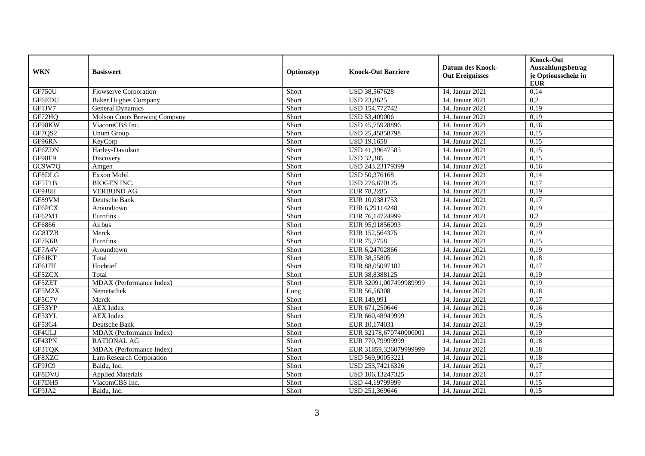| <b>WKN</b>    | <b>Basiswert</b>             | Optionstyp | <b>Knock-Out Barriere</b> | <b>Datum des Knock-</b><br><b>Out Ereignisses</b> | <b>Knock-Out</b><br>Auszahlungsbetrag<br>je Optionsschein in<br><b>EUR</b> |
|---------------|------------------------------|------------|---------------------------|---------------------------------------------------|----------------------------------------------------------------------------|
| GF750U        | <b>Flowserve Corporation</b> | Short      | USD 38,567628             | 14. Januar 2021                                   | 0,14                                                                       |
| GF6EDU        | <b>Baker Hughes Company</b>  | Short      | <b>USD 23,8625</b>        | 14. Januar 2021                                   | 0,2                                                                        |
| GF1JV7        | General Dynamics             | Short      | USD 154,772742            | 14. Januar 2021                                   | 0,19                                                                       |
| GF72HQ        | Molson Coors Brewing Company | Short      | <b>USD 53,409006</b>      | 14. Januar 2021                                   | 0,19                                                                       |
| GF98KW        | ViacomCBS Inc.               | Short      | USD 45,75928896           | 14. Januar 2021                                   | 0,16                                                                       |
| GF7QS2        | Unum Group                   | Short      | USD 25,45858798           | 14. Januar 2021                                   | 0,15                                                                       |
| GF96RN        | KeyCorp                      | Short      | <b>USD 19,1658</b>        | 14. Januar 2021                                   | 0,15                                                                       |
| GF6ZDN        | Harley-Davidson              | Short      | USD 41,39647585           | 14. Januar 2021                                   | 0,15                                                                       |
| <b>GF98E9</b> | Discovery                    | Short      | <b>USD 32,385</b>         | 14. Januar 2021                                   | 0,15                                                                       |
| GC9W7Q        | Amgen                        | Short      | USD 243,23179399          | 14. Januar 2021                                   | 0,16                                                                       |
| GF8DLG        | Exxon Mobil                  | Short      | USD 50,376168             | 14. Januar 2021                                   | 0,14                                                                       |
| GF5T1B        | <b>BIOGEN INC.</b>           | Short      | USD 276,670125            | 14. Januar 2021                                   | 0,17                                                                       |
| GF9J8H        | <b>VERBUND AG</b>            | Short      | EUR 78,2285               | 14. Januar 2021                                   | 0,19                                                                       |
| GF89VM        | Deutsche Bank                | Short      | EUR 10,0381753            | 14. Januar 2021                                   | 0,17                                                                       |
| GF6PCX        | Aroundtown                   | Short      | EUR 6,29114248            | 14. Januar 2021                                   | 0,19                                                                       |
| GF62M1        | Eurofins                     | Short      | EUR 76,14724999           | 14. Januar 2021                                   | 0,2                                                                        |
| GF6866        | Airbus                       | Short      | EUR 95,91856093           | 14. Januar 2021                                   | 0,19                                                                       |
| GC8TZB        | Merck                        | Short      | EUR 152,564375            | 14. Januar 2021                                   | 0,19                                                                       |
| GF7K6B        | Eurofins                     | Short      | EUR 75,7758               | 14. Januar 2021                                   | 0,15                                                                       |
| GF7A4V        | Aroundtown                   | Short      | EUR 6,24702866            | 14. Januar 2021                                   | 0,19                                                                       |
| <b>GF6JKT</b> | Total                        | Short      | EUR 38,55805              | 14. Januar 2021                                   | 0,18                                                                       |
| GF6J7H        | Hochtief                     | Short      | EUR 88,05097182           | 14. Januar 2021                                   | 0,17                                                                       |
| GF5ZCX        | Total                        | Short      | EUR 38,8388125            | 14. Januar 2021                                   | 0,19                                                                       |
| GF5ZET        | MDAX (Performance Index)     | Short      | EUR 32091,007499989999    | 14. Januar 2021                                   | 0,19                                                                       |
| GF5M2X        | Nemetschek                   | Long       | EUR 56,56308              | 14. Januar 2021                                   | 0,18                                                                       |
| GF5C7V        | Merck                        | Short      | EUR 149,991               | 14. Januar 2021                                   | 0,17                                                                       |
| GF53YP        | <b>AEX</b> Index             | Short      | EUR 671,250646            | 14. Januar 2021                                   | 0,16                                                                       |
| GF53YL        | <b>AEX</b> Index             | Short      | EUR 660,48949999          | 14. Januar 2021                                   | 0,15                                                                       |
| GF53G4        | Deutsche Bank                | Short      | EUR 10,174031             | 14. Januar 2021                                   | 0,19                                                                       |
| GF4ULJ        | MDAX (Performance Index)     | Short      | EUR 32178,670740000001    | 14. Januar 2021                                   | 0,19                                                                       |
| GF43PN        | <b>RATIONAL AG</b>           | Short      | EUR 770,79999999          | 14. Januar 2021                                   | 0,18                                                                       |
| GF3TQK        | MDAX (Performance Index)     | Short      | EUR 31859,326079999999    | 14. Januar 2021                                   | 0,18                                                                       |
| GF8XZC        | Lam Research Corporation     | Short      | USD 569,90053221          | 14. Januar 2021                                   | 0,18                                                                       |
| GF9JC9        | Baidu, Inc.                  | Short      | USD 253,74216326          | 14. Januar 2021                                   | 0,17                                                                       |
| GF8DVU        | <b>Applied Materials</b>     | Short      | USD 106,13247325          | 14. Januar 2021                                   | 0,17                                                                       |
| GF7DH5        | ViacomCBS Inc.               | Short      | USD 44,19799999           | 14. Januar 2021                                   | 0,15                                                                       |
| GF9JA2        | Baidu, Inc.                  | Short      | USD 251,369646            | 14. Januar 2021                                   | 0,15                                                                       |